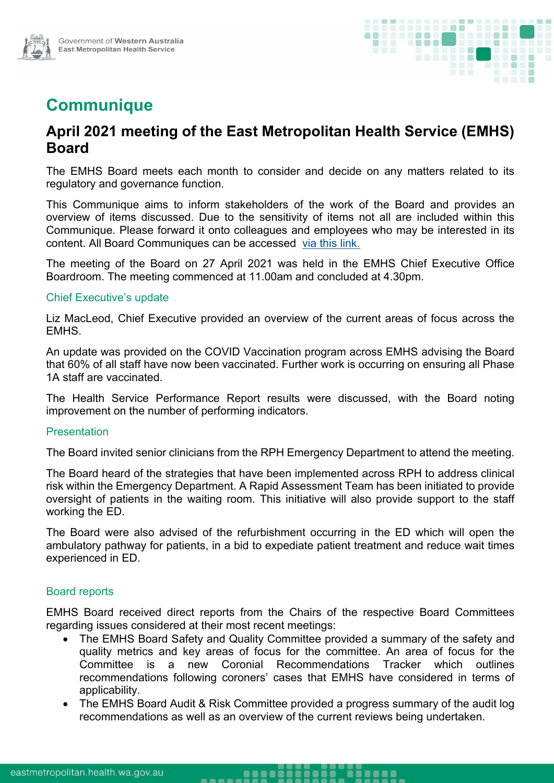

# **Communique**

# **April 2021 meeting of the East Metropolitan Health Service (EMHS) Board**

The EMHS Board meets each month to consider and decide on any matters related to its regulatory and governance function.

This Communique aims to inform stakeholders of the work of the Board and provides an overview of items discussed. Due to the sensitivity of items not all are included within this Communique. Please forward it onto colleagues and employees who may be interested in its content. All Board Communiques can be accessed [via this link.](https://emhs.health.wa.gov.au/About-Us/Health-Service-Board)

The meeting of the Board on 27 April 2021 was held in the EMHS Chief Executive Office Boardroom. The meeting commenced at 11.00am and concluded at 4.30pm.

## Chief Executive's update

Liz MacLeod, Chief Executive provided an overview of the current areas of focus across the EMHS.

An update was provided on the COVID Vaccination program across EMHS advising the Board that 60% of all staff have now been vaccinated. Further work is occurring on ensuring all Phase 1A staff are vaccinated.

The Health Service Performance Report results were discussed, with the Board noting improvement on the number of performing indicators.

#### **Presentation**

The Board invited senior clinicians from the RPH Emergency Department to attend the meeting.

The Board heard of the strategies that have been implemented across RPH to address clinical risk within the Emergency Department. A Rapid Assessment Team has been initiated to provide oversight of patients in the waiting room. This initiative will also provide support to the staff working the ED.

The Board were also advised of the refurbishment occurring in the ED which will open the ambulatory pathway for patients, in a bid to expediate patient treatment and reduce wait times experienced in ED.

## Board reports

EMHS Board received direct reports from the Chairs of the respective Board Committees regarding issues considered at their most recent meetings:

- The EMHS Board Safety and Quality Committee provided a summary of the safety and quality metrics and key areas of focus for the committee. An area of focus for the Committee is a new Coronial Recommendations Tracker which outlines recommendations following coroners' cases that EMHS have considered in terms of applicability.
- The EMHS Board Audit & Risk Committee provided a progress summary of the audit log recommendations as well as an overview of the current reviews being undertaken.

. . . . .